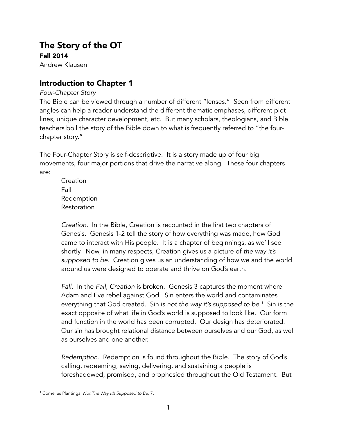# The Story of the OT

Fall 2014 Andrew Klausen

# Introduction to Chapter 1

### *Four-Chapter Story*

The Bible can be viewed through a number of different "lenses." Seen from different angles can help a reader understand the different thematic emphases, different plot lines, unique character development, etc. But many scholars, theologians, and Bible teachers boil the story of the Bible down to what is frequently referred to "the fourchapter story."

The Four-Chapter Story is self-descriptive. It is a story made up of four big movements, four major portions that drive the narrative along. These four chapters are:

Creation Fall Redemption Restoration

*Creation.* In the Bible, Creation is recounted in the first two chapters of Genesis. Genesis 1-2 tell the story of how everything was made, how God came to interact with His people. It is a chapter of beginnings, as we'll see shortly. Now, in many respects, Creation gives us a picture of *the way it's supposed to be.* Creation gives us an understanding of how we and the world around us were designed to operate and thrive on God's earth.

*Fall.* In the *Fall, Creation* is broken. Genesis 3 captures the moment where Adam and Eve rebel against God. Sin enters the world and contaminates everything that God created. Sin is *not the way it's supposed to be.<sup>1</sup>* Sin is the exact opposite of what life in God's world is supposed to look like. Our form and function in the world has been corrupted. Our design has deteriorated. Our sin has brought relational distance between ourselves and our God, as well as ourselves and one another.

*Redemption.* Redemption is found throughout the Bible. The story of God's calling, redeeming, saving, delivering, and sustaining a people is foreshadowed, promised, and prophesied throughout the Old Testament. But

<sup>&</sup>lt;sup>1</sup> Cornelius Plantinga, *Not The Way It's Supposed to Be*, 7.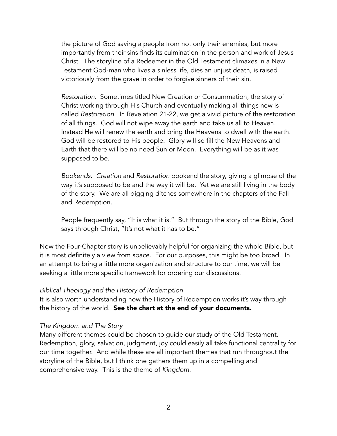the picture of God saving a people from not only their enemies, but more importantly from their sins finds its culmination in the person and work of Jesus Christ. The storyline of a Redeemer in the Old Testament climaxes in a New Testament God-man who lives a sinless life, dies an unjust death, is raised victoriously from the grave in order to forgive sinners of their sin.

*Restoration.* Sometimes titled New Creation or Consummation, the story of Christ working through His Church and eventually making all things new is called *Restoration.* In Revelation 21-22, we get a vivid picture of the restoration of all things. God will not wipe away the earth and take us all to Heaven. Instead He will renew the earth and bring the Heavens to dwell with the earth. God will be restored to His people. Glory will so fill the New Heavens and Earth that there will be no need Sun or Moon. Everything will be as it was supposed to be.

*Bookends. Creation* and *Restoration* bookend the story, giving a glimpse of the way it's supposed to be and the way it will be. Yet we are still living in the body of the story. We are all digging ditches somewhere in the chapters of the Fall and Redemption.

People frequently say, "It is what it is." But through the story of the Bible, God says through Christ, "It's not what it has to be."

Now the Four-Chapter story is unbelievably helpful for organizing the whole Bible, but it is most definitely a view from space. For our purposes, this might be too broad. In an attempt to bring a little more organization and structure to our time, we will be seeking a little more specific framework for ordering our discussions.

### *Biblical Theology and the History of Redemption*

It is also worth understanding how the History of Redemption works it's way through the history of the world. See the chart at the end of your documents.

### *The Kingdom and The Story*

Many different themes could be chosen to guide our study of the Old Testament. Redemption, glory, salvation, judgment, joy could easily all take functional centrality for our time together. And while these are all important themes that run throughout the storyline of the Bible, but I think one gathers them up in a compelling and comprehensive way. This is the theme of *Kingdom.*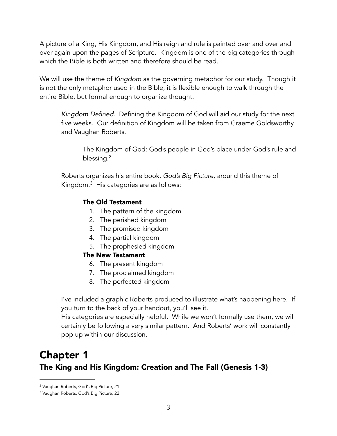A picture of a King, His Kingdom, and His reign and rule is painted over and over and over again upon the pages of Scripture. Kingdom is one of the big categories through which the Bible is both written and therefore should be read.

We will use the theme of *Kingdom* as the governing metaphor for our study. Though it is not the only metaphor used in the Bible, it is flexible enough to walk through the entire Bible, but formal enough to organize thought.

*Kingdom Defined.* Defining the Kingdom of God will aid our study for the next five weeks. Our definition of Kingdom will be taken from Graeme Goldsworthy and Vaughan Roberts.

The Kingdom of God: God's people in God's place under God's rule and blessing.<sup>2</sup>

Roberts organizes his entire book, *God's Big Picture,* around this theme of Kingdom. $3$  His categories are as follows:

### The Old Testament

- 1. The pattern of the kingdom
- 2. The perished kingdom
- 3. The promised kingdom
- 4. The partial kingdom
- 5. The prophesied kingdom

### The New Testament

- 6. The present kingdom
- 7. The proclaimed kingdom
- 8. The perfected kingdom

I've included a graphic Roberts produced to illustrate what's happening here. If you turn to the back of your handout, you'll see it.

His categories are especially helpful. While we won't formally use them, we will certainly be following a very similar pattern. And Roberts' work will constantly pop up within our discussion.

# Chapter 1 The King and His Kingdom: Creation and The Fall (Genesis 1-3)

<sup>&</sup>lt;sup>2</sup> Vaughan Roberts, God's Big Picture, 21.

<sup>&</sup>lt;sup>3</sup> Vaughan Roberts, God's Big Picture, 22.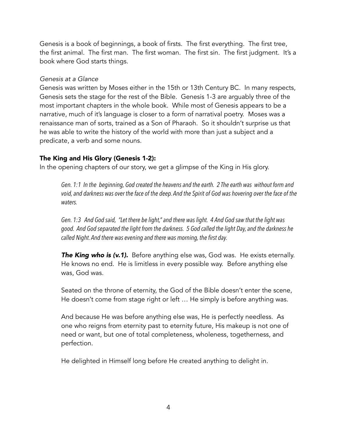Genesis is a book of beginnings, a book of firsts. The first everything. The first tree, the first animal. The first man. The first woman. The first sin. The first judgment. It's a book where God starts things.

### *Genesis at a Glance*

Genesis was written by Moses either in the 15th or 13th Century BC. In many respects, Genesis sets the stage for the rest of the Bible. Genesis 1-3 are arguably three of the most important chapters in the whole book. While most of Genesis appears to be a narrative, much of it's language is closer to a form of narratival poetry. Moses was a renaissance man of sorts, trained as a Son of Pharaoh. So it shouldn't surprise us that he was able to write the history of the world with more than just a subject and a predicate, a verb and some nouns.

### The King and His Glory (Genesis 1-2):

In the opening chapters of our story, we get a glimpse of the King in His glory.

*Gen. 1:1 In the beginning, God created the heavens and the earth. 2 The earth was without form and void, and darkness was over the face of the deep. And the Spirit of God was hovering over the face of the waters.* 

*Gen. 1:3 And God said, "Let there be light," and there was light. 4 And God saw that the light was good. And God separated the light from the darkness. 5 God called the light Day, and the darkness he called Night. And there was evening and there was morning, the first day.* 

**The King who is (v.1).** Before anything else was, God was. He exists eternally. He knows no end. He is limitless in every possible way. Before anything else was, God was.

Seated on the throne of eternity, the God of the Bible doesn't enter the scene, He doesn't come from stage right or left … He simply is before anything was.

And because He was before anything else was, He is perfectly needless. As one who reigns from eternity past to eternity future, His makeup is not one of need or want, but one of total completeness, wholeness, togetherness, and perfection.

He delighted in Himself long before He created anything to delight in.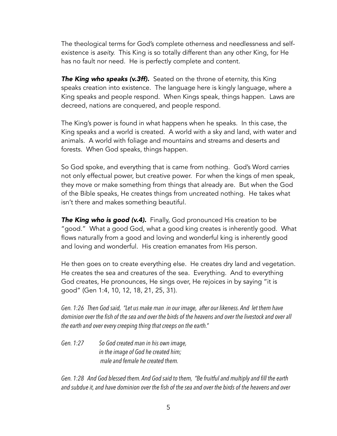The theological terms for God's complete otherness and needlessness and selfexistence is *aseity.* This King is so totally different than any other King, for He has no fault nor need. He is perfectly complete and content.

**The King who speaks (v.3ff).** Seated on the throne of eternity, this King speaks creation into existence. The language here is kingly language, where a King speaks and people respond. When Kings speak, things happen. Laws are decreed, nations are conquered, and people respond.

The King's power is found in what happens when he speaks. In this case, the King speaks and a world is created. A world with a sky and land, with water and animals. A world with foliage and mountains and streams and deserts and forests. When God speaks, things happen.

So God spoke, and everything that is came from nothing. God's Word carries not only effectual power, but creative power. For when the kings of men speak, they move or make something from things that already are. But when the God of the Bible speaks, He creates things from uncreated nothing. He takes what isn't there and makes something beautiful.

**The King who is good (v.4).** Finally, God pronounced His creation to be "good." What a good God, what a good king creates is inherently good. What flows naturally from a good and loving and wonderful king is inherently good and loving and wonderful. His creation emanates from His person.

He then goes on to create everything else. He creates dry land and vegetation. He creates the sea and creatures of the sea. Everything. And to everything God creates, He pronounces, He sings over, He rejoices in by saying "it is good" (Gen 1:4, 10, 12, 18, 21, 25, 31).

*Gen. 1:26 Then God said, "Let us make man in our image, after our likeness. And let them have dominion over the fish of the sea and over the birds of the heavens and over the livestock and over all the earth and over every creeping thing that creeps on the earth."* 

*Gen. 1:27 So God created man in his own image, in the image of God he created him; male and female he created them.* 

*Gen. 1:28 And God blessed them. And God said to them, "Be fruitful and multiply and fill the earth and subdue it, and have dominion over the fish of the sea and over the birds of the heavens and over*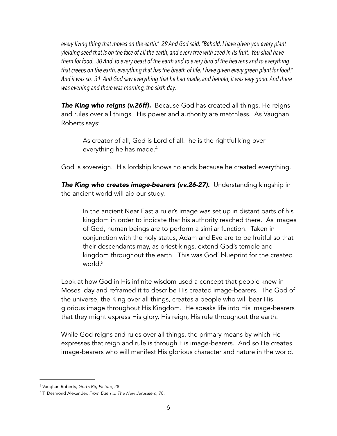*every living thing that moves on the earth." 29 And God said, "Behold, I have given you every plant yielding seed that is on the face of all the earth, and every tree with seed in its fruit. You shall have them for food. 30 And to every beast of the earth and to every bird of the heavens and to everything that creeps on the earth, everything that has the breath of life, I have given every green plant for food." And it was so. 31 And God saw everything that he had made, and behold, it was very good. And there was evening and there was morning, the sixth day.*

**The King who reigns (v.26ff).** Because God has created all things, He reigns and rules over all things. His power and authority are matchless. As Vaughan Roberts says:

As creator of all, God is Lord of all. he is the rightful king over everything he has made.4

God is sovereign. His lordship knows no ends because he created everything.

**The King who creates image-bearers (vv.26-27).** Understanding kingship in the ancient world will aid our study.

In the ancient Near East a ruler's image was set up in distant parts of his kingdom in order to indicate that his authority reached there. As images of God, human beings are to perform a similar function. Taken in conjunction with the holy status, Adam and Eve are to be fruitful so that their descendants may, as priest-kings, extend God's temple and kingdom throughout the earth. This was God' blueprint for the created world.<sup>5</sup>

Look at how God in His infinite wisdom used a concept that people knew in Moses' day and reframed it to describe His created image-bearers. The God of the universe, the King over all things, creates a people who will bear His glorious image throughout His Kingdom. He speaks life into His image-bearers that they might express His glory, His reign, His rule throughout the earth.

While God reigns and rules over all things, the primary means by which He expresses that reign and rule is through His image-bearers. And so He creates image-bearers who will manifest His glorious character and nature in the world.

Vaughan Roberts, *God's Big Picture,* 28. <sup>4</sup>

T. Desmond Alexander, *From Eden to The New Jerusalem,* 78. <sup>5</sup>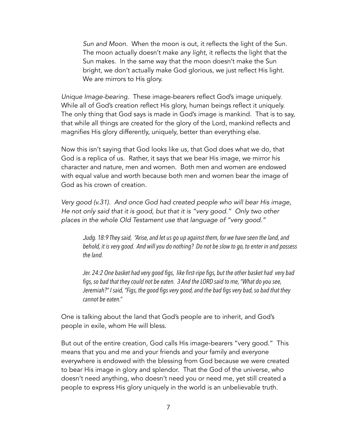*Sun and Moon*. When the moon is out, it reflects the light of the Sun. The moon actually doesn't make *any light,* it reflects the light that the Sun makes. In the same way that the moon doesn't make the Sun bright, we don't actually make God glorious, we just reflect His light. We are mirrors to His glory.

*Unique Image-bearing.* These image-bearers reflect God's image uniquely. While all of God's creation reflect His glory, human beings reflect it uniquely. The only thing that God says is made in God's image is mankind. That is to say, that while all things are created for the glory of the Lord, mankind reflects and magnifies His glory differently, uniquely, better than everything else.

Now this isn't saying that God looks like us, that God does what we do, that God is a replica of us. Rather, it says that we bear His image, we mirror his character and nature, men and women. Both men and women are endowed with equal value and worth because both men and women bear the image of God as his crown of creation.

*Very good (v.31). And once God had created people who will bear His image, He not only said that it is good, but that it is "very good." Only two other places in the whole Old Testament use that language of "very good."* 

*Judg. 18:9 They said, "Arise, and let us go up against them, for we have seen the land, and behold, it is very good. And will you do nothing? Do not be slow to go, to enter in and possess the land.* 

*Jer. 24:2 One basket had very good figs, like first-ripe figs, but the other basket had very bad figs, so bad that they could not be eaten. 3 And the LORD said to me, "What do you see, Jeremiah?" I said, "Figs, the good figs very good, and the bad figs very bad, so bad that they cannot be eaten."*

One is talking about the land that God's people are to inherit, and God's people in exile, whom He will bless.

But out of the entire creation, God calls His image-bearers "very good." This means that you and me and your friends and your family and everyone everywhere is endowed with the blessing from God because we were created to bear His image in glory and splendor. That the God of the universe, who doesn't need anything, who doesn't need you or need me, yet still created a people to express His glory uniquely in the world is an unbelievable truth.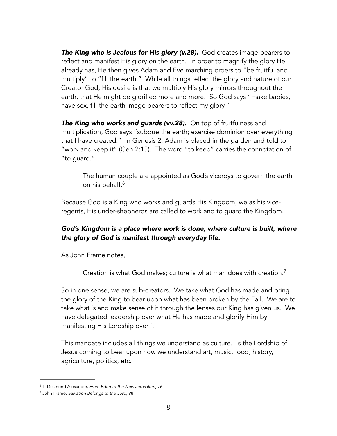*The King who is Jealous for His glory (v.28).* God creates image-bearers to reflect and manifest His glory on the earth. In order to magnify the glory He already has, He then gives Adam and Eve marching orders to "be fruitful and multiply" to "fill the earth." While all things reflect the glory and nature of our Creator God, His desire is that we multiply His glory mirrors throughout the earth, that He might be glorified more and more. So God says "make babies, have sex, fill the earth image bearers to reflect my glory."

**The King who works and guards (vv.28).** On top of fruitfulness and multiplication, God says "subdue the earth; exercise dominion over everything that I have created." In Genesis 2, Adam is placed in the garden and told to "work and keep it" (Gen 2:15). The word "to keep" carries the connotation of "to guard."

The human couple are appointed as God's viceroys to govern the earth on his behalf.6

Because God is a King who works and guards His Kingdom, we as his viceregents, His under-shepherds are called to work and to guard the Kingdom.

## *God's Kingdom is a place where work is done, where culture is built, where the glory of God is manifest through everyday life.*

As John Frame notes,

Creation is what God makes; culture is what man does with creation.7

So in one sense, we are sub-creators. We take what God has made and bring the glory of the King to bear upon what has been broken by the Fall. We are to take what is and make sense of it through the lenses our King has given us. We have delegated leadership over what He has made and glorify Him by manifesting His Lordship over it.

This mandate includes all things we understand as culture. Is the Lordship of Jesus coming to bear upon how we understand art, music, food, history, agriculture, politics, etc.

<sup>&</sup>lt;sup>6</sup> T. Desmond Alexander, *From Eden to the New Jerusalem*, 76.

<sup>&</sup>lt;sup>7</sup> John Frame, Salvation Belongs to the Lord, 98.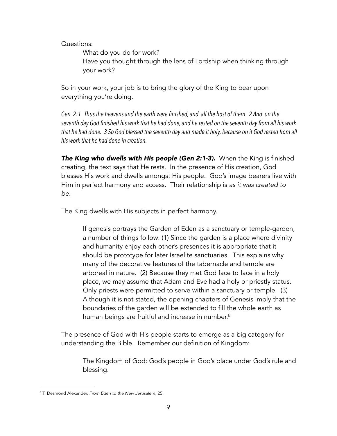Questions:

What do you do for work? Have you thought through the lens of Lordship when thinking through your work?

So in your work, your job is to bring the glory of the King to bear upon everything you're doing.

*Gen. 2:1 Thus the heavens and the earth were finished, and all the host of them. 2 And on the seventh day God finished his work that he had done, and he rested on the seventh day from all his work that he had done. 3 So God blessed the seventh day and made it holy, because on it God rested from all his work that he had done in creation.*

*The King who dwells with His people (Gen 2:1-3).* When the King is finished creating, the text says that He rests. In the presence of His creation, God blesses His work and dwells amongst His people. God's image bearers live with Him in perfect harmony and access. Their relationship is *as it was created to be.* 

The King dwells with His subjects in perfect harmony.

If genesis portrays the Garden of Eden as a sanctuary or temple-garden, a number of things follow: (1) Since the garden is a place where divinity and humanity enjoy each other's presences it is appropriate that it should be prototype for later Israelite sanctuaries. This explains why many of the decorative features of the tabernacle and temple are arboreal in nature. (2) Because they met God face to face in a holy place, we may assume that Adam and Eve had a holy or priestly status. Only priests were permitted to serve within a sanctuary or temple. (3) Although it is not stated, the opening chapters of Genesis imply that the boundaries of the garden will be extended to fill the whole earth as human beings are fruitful and increase in number.<sup>8</sup>

The presence of God with His people starts to emerge as a big category for understanding the Bible. Remember our definition of Kingdom:

The Kingdom of God: God's people in God's place under God's rule and blessing.

T. Desmond Alexander, *From Eden to the New Jerusalem*, 25. 8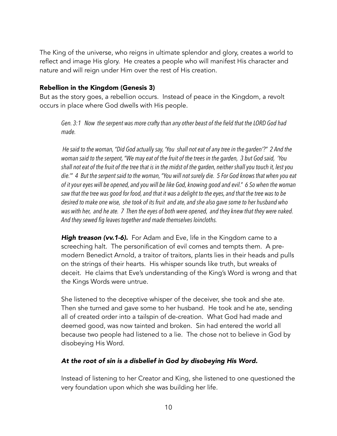The King of the universe, who reigns in ultimate splendor and glory, creates a world to reflect and image His glory. He creates a people who will manifest His character and nature and will reign under Him over the rest of His creation.

### Rebellion in the Kingdom (Genesis 3)

But as the story goes, a rebellion occurs. Instead of peace in the Kingdom, a revolt occurs in place where God dwells with His people.

*Gen. 3:1 Now the serpent was more crafty than any other beast of the field that the LORD God had made.* 

 *He said to the woman, "Did God actually say, 'You shall not eat of any tree in the garden'?" 2 And the woman said to the serpent, "We may eat of the fruit of the trees in the garden, 3 but God said, 'You shall not eat of the fruit of the tree that is in the midst of the garden, neither shall you touch it, lest you die.'" 4 But the serpent said to the woman, "You will not surely die. 5 For God knows that when you eat of it your eyes will be opened, and you will be like God, knowing good and evil." 6 So when the woman saw that the tree was good for food, and that it was a delight to the eyes, and that the tree was to be desired to make one wise, she took of its fruit and ate, and she also gave some to her husband who was with her, and he ate. 7 Then the eyes of both were opened, and they knew that they were naked. And they sewed fig leaves together and made themselves loincloths.* 

**High treason (vv.1-6).** For Adam and Eve, life in the Kingdom came to a screeching halt. The personification of evil comes and tempts them. A premodern Benedict Arnold, a traitor of traitors, plants lies in their heads and pulls on the strings of their hearts. His whisper sounds like truth, but wreaks of deceit. He claims that Eve's understanding of the King's Word is wrong and that the Kings Words were untrue.

She listened to the deceptive whisper of the deceiver, she took and she ate. Then she turned and gave some to her husband. He took and he ate, sending all of created order into a tailspin of de-creation. What God had made and deemed good, was now tainted and broken. Sin had entered the world all because two people had listened to a lie. The chose not to believe in God by disobeying His Word.

### *At the root of sin is a disbelief in God by disobeying His Word.*

Instead of listening to her Creator and King, she listened to one questioned the very foundation upon which she was building her life.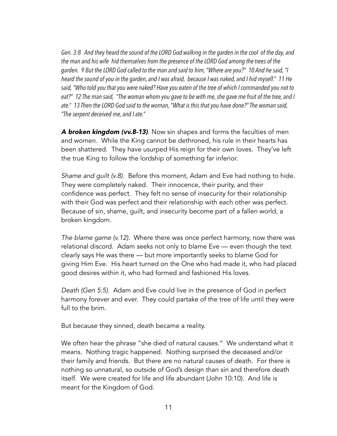*Gen. 3:8 And they heard the sound of the LORD God walking in the garden in the cool of the day, and the man and his wife hid themselves from the presence of the LORD God among the trees of the garden. 9 But the LORD God called to the man and said to him, "Where are you?" 10 And he said, "I heard the sound of you in the garden, and I was afraid, because I was naked, and I hid myself." 11 He said, "Who told you that you were naked? Have you eaten of the tree of which I commanded you not to eat?" 12 The man said, "The woman whom you gave to be with me, she gave me fruit of the tree, and I ate." 13 Then the LORD God said to the woman, "What is this that you have done?" The woman said, "The serpent deceived me, and I ate."* 

*A broken kingdom (vv.8-13)*. Now sin shapes and forms the faculties of men and women. While the King cannot be dethroned, his rule in their hearts has been shattered. They have usurped His reign for their own loves. They've left the true King to follow the lordship of something far inferior.

*Shame and guilt (v.8).* Before this moment, Adam and Eve had nothing to hide. They were completely naked. Their innocence, their purity, and their confidence was perfect. They felt no sense of insecurity for their relationship with their God was perfect and their relationship with each other was perfect. Because of sin, shame, guilt, and insecurity become part of a fallen world, a broken kingdom.

*The blame game (v.12).* Where there was once perfect harmony, now there was relational discord. Adam seeks not only to blame Eve — even though the text clearly says He was there — but more importantly seeks to blame God for giving Him Eve. His heart turned on the One who had made it, who had placed good desires within it, who had formed and fashioned His loves.

*Death (Gen 5:5).* Adam and Eve could live in the presence of God in perfect harmony forever and ever. They could partake of the tree of life until they were full to the brim.

But because they sinned, death became a reality.

We often hear the phrase "she died of natural causes." We understand what it means. Nothing tragic happened. Nothing surprised the deceased and/or their family and friends. But there are no natural causes of death. For there is nothing so unnatural, so outside of God's design than sin and therefore death itself. We were created for life and life abundant (John 10:10). And life is meant for the Kingdom of God.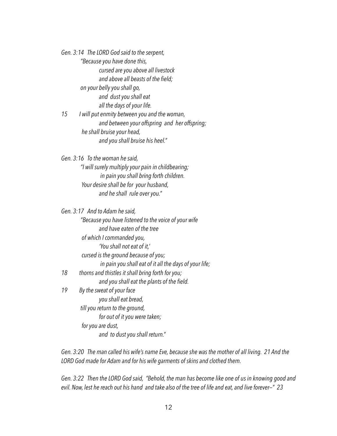*Gen. 3:14 The LORD God said to the serpent, "Because you have done this, cursed are you above all livestock and above all beasts of the field; on your belly you shall go, and dust you shall eat all the days of your life. 15 I will put enmity between you and the woman,* 

 *and between your offspring and her offspring; he shall bruise your head, and you shall bruise his heel."* 

*Gen.* 3:16 *To the woman he said, "I will surely multiply your pain in childbearing; in pain you shall bring forth children. Your desire shall be for your husband, and he shall rule over you."* 

|    | Gen. 3:17 And to Adam he said,                         |
|----|--------------------------------------------------------|
|    | "Because you have listened to the voice of your wife   |
|    | and have eaten of the tree                             |
|    | of which I commanded you,                              |
|    | 'You shall not eat of it,'                             |
|    | cursed is the ground because of you;                   |
|    | in pain you shall eat of it all the days of your life; |
| 18 | thorns and thistles it shall bring forth for you;      |
|    | and you shall eat the plants of the field.             |
| 19 | By the sweat of your face                              |
|    | you shall eat bread,                                   |
|    | till you return to the ground,                         |
|    | for out of it you were taken;                          |
|    | for you are dust,                                      |
|    | and to dust you shall return."                         |

*Gen. 3:20 The man called his wife's name Eve, because she was the mother of all living. 21 And the LORD God made for Adam and for his wife garments of skins and clothed them.* 

*Gen. 3:22 Then the LORD God said, "Behold, the man has become like one of us in knowing good and evil. Now, lest he reach out his hand and take also of the tree of life and eat, and live forever—" 23*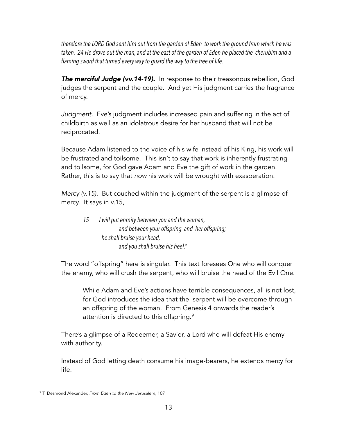*therefore the LORD God sent him out from the garden of Eden to work the ground from which he was taken. 24 He drove out the man, and at the east of the garden of Eden he placed the cherubim and a flaming sword that turned every way to guard the way to the tree of life.* 

**The merciful Judge (vv.14-19).** In response to their treasonous rebellion, God judges the serpent and the couple. And yet His judgment carries the fragrance of mercy.

*Judgment.* Eve's judgment includes increased pain and suffering in the act of childbirth as well as an idolatrous desire for her husband that will not be reciprocated.

Because Adam listened to the voice of his wife instead of his King, his work will be frustrated and toilsome. This isn't to say that work is inherently frustrating and toilsome, for God gave Adam and Eve the gift of work in the garden. Rather, this is to say that *now* his work will be wrought with exasperation.

*Mercy (v.15).* But couched within the judgment of the serpent is a glimpse of mercy. It says in v.15,

*15 I will put enmity between you and the woman, and between your offspring and her offspring; he shall bruise your head, and you shall bruise his heel."* 

The word "offspring" here is singular. This text foresees One who will conquer the enemy, who will crush the serpent, who will bruise the head of the Evil One.

While Adam and Eve's actions have terrible consequences, all is not lost, for God introduces the idea that the serpent will be overcome through an offspring of the woman. From Genesis 4 onwards the reader's attention is directed to this offspring.<sup>9</sup>

There's a glimpse of a Redeemer, a Savior, a Lord who will defeat His enemy with authority.

Instead of God letting death consume his image-bearers, he extends mercy for life.

T. Desmond Alexander, *From Eden to the New Jerusalem*, 107 <sup>9</sup>